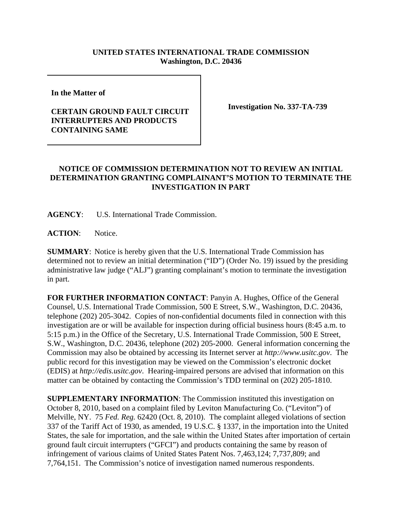## **UNITED STATES INTERNATIONAL TRADE COMMISSION Washington, D.C. 20436**

**In the Matter of** 

## **CERTAIN GROUND FAULT CIRCUIT INTERRUPTERS AND PRODUCTS CONTAINING SAME**

**Investigation No. 337-TA-739**

## **NOTICE OF COMMISSION DETERMINATION NOT TO REVIEW AN INITIAL DETERMINATION GRANTING COMPLAINANT'S MOTION TO TERMINATE THE INVESTIGATION IN PART**

**AGENCY**: U.S. International Trade Commission.

**ACTION**: Notice.

**SUMMARY**: Notice is hereby given that the U.S. International Trade Commission has determined not to review an initial determination ("ID") (Order No. 19) issued by the presiding administrative law judge ("ALJ") granting complainant's motion to terminate the investigation in part.

**FOR FURTHER INFORMATION CONTACT**: Panyin A. Hughes, Office of the General Counsel, U.S. International Trade Commission, 500 E Street, S.W., Washington, D.C. 20436, telephone (202) 205-3042. Copies of non-confidential documents filed in connection with this investigation are or will be available for inspection during official business hours (8:45 a.m. to 5:15 p.m.) in the Office of the Secretary, U.S. International Trade Commission, 500 E Street, S.W., Washington, D.C. 20436, telephone (202) 205-2000. General information concerning the Commission may also be obtained by accessing its Internet server at *http://www.usitc.gov*. The public record for this investigation may be viewed on the Commission's electronic docket (EDIS) at *http://edis.usitc.gov*. Hearing-impaired persons are advised that information on this matter can be obtained by contacting the Commission's TDD terminal on (202) 205-1810.

**SUPPLEMENTARY INFORMATION**: The Commission instituted this investigation on October 8, 2010, based on a complaint filed by Leviton Manufacturing Co. ("Leviton") of Melville, NY. 75 *Fed. Reg.* 62420 (Oct. 8, 2010). The complaint alleged violations of section 337 of the Tariff Act of 1930, as amended, 19 U.S.C. § 1337, in the importation into the United States, the sale for importation, and the sale within the United States after importation of certain ground fault circuit interrupters ("GFCI") and products containing the same by reason of infringement of various claims of United States Patent Nos. 7,463,124; 7,737,809; and 7,764,151. The Commission's notice of investigation named numerous respondents.